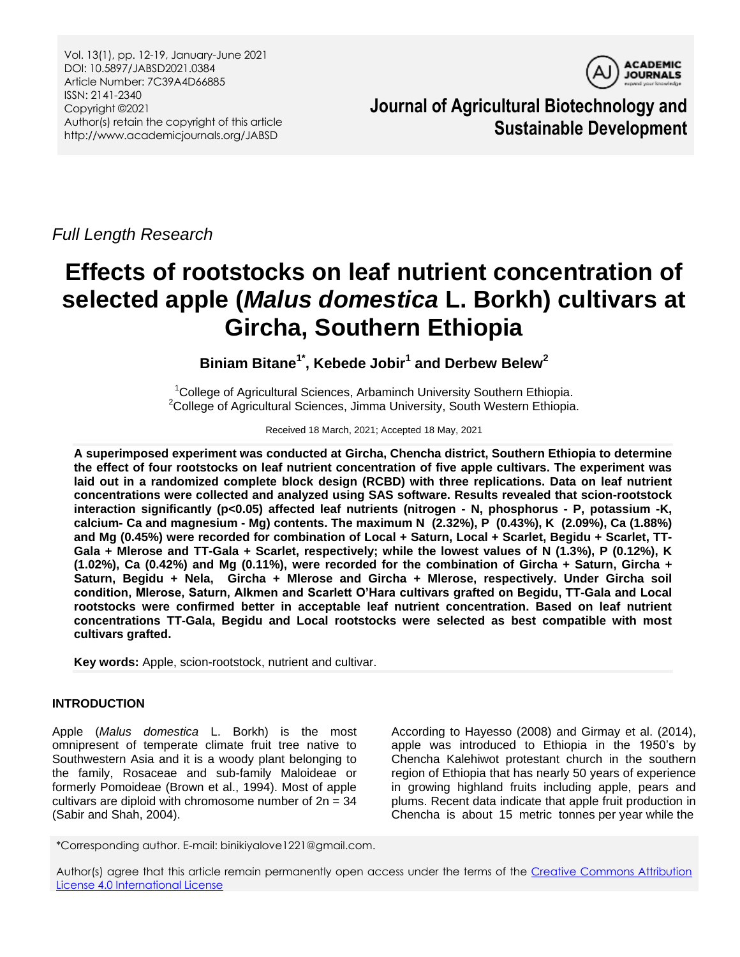Vol. 13(1), pp. 12-19, January-June 2021 DOI: 10.5897/JABSD2021.0384 Article Number: 7C39A4D66885 ISSN: 2141-2340 Copyright ©2021 Author(s) retain the copyright of this article http://www.academicjournals.org/JABSD



**Journal of Agricultural Biotechnology and Sustainable Development**

*Full Length Research*

# **Effects of rootstocks on leaf nutrient concentration of selected apple (***Malus domestica* **L. Borkh) cultivars at Gircha, Southern Ethiopia**

**Biniam Bitane1\* , Kebede Jobir<sup>1</sup> and Derbew Belew<sup>2</sup>**

<sup>1</sup>College of Agricultural Sciences, Arbaminch University Southern Ethiopia. <sup>2</sup>College of Agricultural Sciences, Jimma University, South Western Ethiopia.

Received 18 March, 2021; Accepted 18 May, 2021

**A superimposed experiment was conducted at Gircha, Chencha district, Southern Ethiopia to determine the effect of four rootstocks on leaf nutrient concentration of five apple cultivars. The experiment was laid out in a randomized complete block design (RCBD) with three replications. Data on leaf nutrient concentrations were collected and analyzed using SAS software. Results revealed that scion-rootstock interaction significantly (p<0.05) affected leaf nutrients (nitrogen - N, phosphorus - P, potassium -K, calcium- Ca and magnesium - Mg) contents. The maximum N (2.32%), P (0.43%), K (2.09%), Ca (1.88%) and Mg (0.45%) were recorded for combination of Local + Saturn, Local + Scarlet, Begidu + Scarlet, TT-Gala + Mlerose and TT-Gala + Scarlet, respectively; while the lowest values of N (1.3%), P (0.12%), K (1.02%), Ca (0.42%) and Mg (0.11%), were recorded for the combination of Gircha + Saturn, Gircha + Saturn, Begidu + Nela, Gircha + Mlerose and Gircha + Mlerose, respectively. Under Gircha soil condition, Mlerose, Saturn, Alkmen and Scarlett O'Hara cultivars grafted on Begidu, TT-Gala and Local rootstocks were confirmed better in acceptable leaf nutrient concentration. Based on leaf nutrient concentrations TT-Gala, Begidu and Local rootstocks were selected as best compatible with most cultivars grafted.**

**Key words:** Apple, scion-rootstock, nutrient and cultivar.

# **INTRODUCTION**

Apple (*Malus domestica* L. Borkh) is the most omnipresent of temperate climate fruit tree native to Southwestern Asia and it is a woody plant belonging to the family, Rosaceae and sub-family Maloideae or formerly Pomoideae (Brown et al., 1994). Most of apple cultivars are diploid with chromosome number of  $2n = 34$ (Sabir and Shah, 2004).

According to Hayesso (2008) and Girmay et al. (2014), apple was introduced to Ethiopia in the 1950's by Chencha Kalehiwot protestant church in the southern region of Ethiopia that has nearly 50 years of experience in growing highland fruits including apple, pears and plums. Recent data indicate that apple fruit production in Chencha is about 15 metric tonnes per year while the

\*Corresponding author. E-mail: binikiyalove1221@gmail.com.

Author(s) agree that this article remain permanently open access under the terms of the [Creative Commons Attribution](http://creativecommons.org/licenses/by/4.0/deed.en_US)  [License 4.0 International License](http://creativecommons.org/licenses/by/4.0/deed.en_US)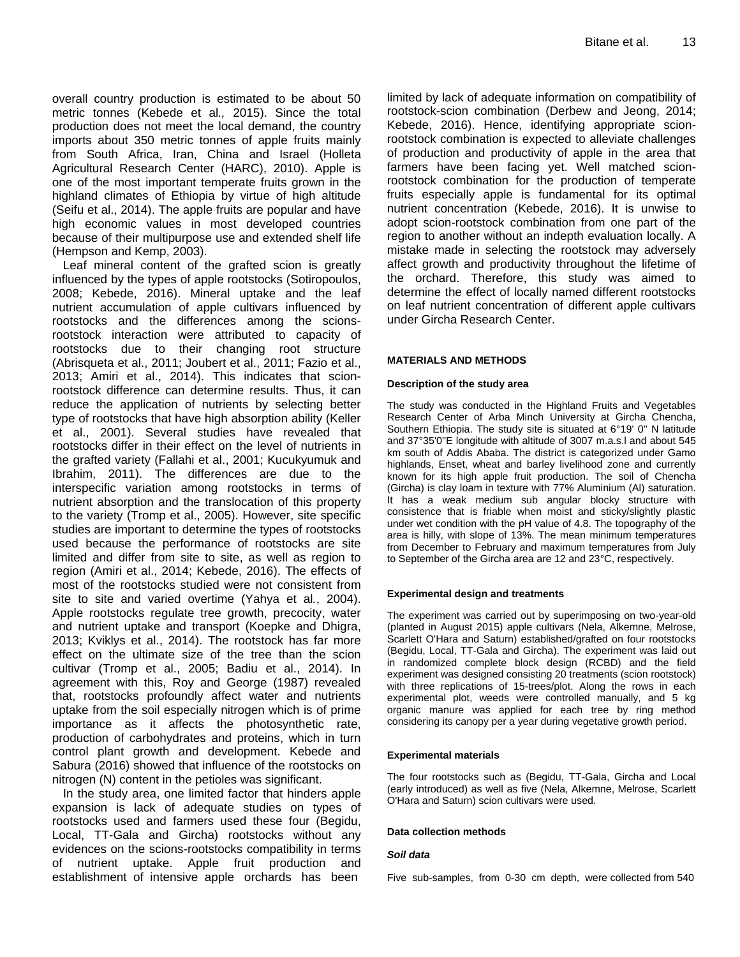overall country production is estimated to be about 50 metric tonnes (Kebede et al*.,* 2015). Since the total production does not meet the local demand, the country imports about 350 metric tonnes of apple fruits mainly from South Africa, Iran, China and Israel (Holleta Agricultural Research Center (HARC), 2010). Apple is one of the most important temperate fruits grown in the highland climates of Ethiopia by virtue of high altitude (Seifu et al., 2014). The apple fruits are popular and have high economic values in most developed countries because of their multipurpose use and extended shelf life (Hempson and Kemp, 2003).

Leaf mineral content of the grafted scion is greatly influenced by the types of apple rootstocks (Sotiropoulos, 2008; Kebede, 2016). Mineral uptake and the leaf nutrient accumulation of apple cultivars influenced by rootstocks and the differences among the scionsrootstock interaction were attributed to capacity of rootstocks due to their changing root structure (Abrisqueta et al., 2011; Joubert et al., 2011; Fazio et al., 2013; Amiri et al., 2014). This indicates that scionrootstock difference can determine results. Thus, it can reduce the application of nutrients by selecting better type of rootstocks that have high absorption ability (Keller et al., 2001). Several studies have revealed that rootstocks differ in their effect on the level of nutrients in the grafted variety (Fallahi et al., 2001; Kucukyumuk and Ibrahim, 2011). The differences are due to the interspecific variation among rootstocks in terms of nutrient absorption and the translocation of this property to the variety (Tromp et al., 2005). However, site specific studies are important to determine the types of rootstocks used because the performance of rootstocks are site limited and differ from site to site, as well as region to region (Amiri et al., 2014; Kebede, 2016). The effects of most of the rootstocks studied were not consistent from site to site and varied overtime (Yahya et al*.*, 2004). Apple rootstocks regulate tree growth, precocity, water and nutrient uptake and transport (Koepke and Dhigra, 2013; Kviklys et al., 2014). The rootstock has far more effect on the ultimate size of the tree than the scion cultivar (Tromp et al., 2005; Badiu et al., 2014). In agreement with this, Roy and George (1987) revealed that, rootstocks profoundly affect water and nutrients uptake from the soil especially nitrogen which is of prime importance as it affects the photosynthetic rate, production of carbohydrates and proteins, which in turn control plant growth and development. Kebede and Sabura (2016) showed that influence of the rootstocks on nitrogen (N) content in the petioles was significant.

In the study area, one limited factor that hinders apple expansion is lack of adequate studies on types of rootstocks used and farmers used these four (Begidu, Local, TT-Gala and Gircha) rootstocks without any evidences on the scions-rootstocks compatibility in terms of nutrient uptake. Apple fruit production and establishment of intensive apple orchards has been

limited by lack of adequate information on compatibility of rootstock-scion combination (Derbew and Jeong, 2014; Kebede, 2016). Hence, identifying appropriate scionrootstock combination is expected to alleviate challenges of production and productivity of apple in the area that farmers have been facing yet. Well matched scionrootstock combination for the production of temperate fruits especially apple is fundamental for its optimal nutrient concentration (Kebede, 2016). It is unwise to adopt scion-rootstock combination from one part of the region to another without an indepth evaluation locally. A mistake made in selecting the rootstock may adversely affect growth and productivity throughout the lifetime of the orchard. Therefore, this study was aimed to determine the effect of locally named different rootstocks on leaf nutrient concentration of different apple cultivars under Gircha Research Center.

#### **MATERIALS AND METHODS**

#### **Description of the study area**

The study was conducted in the Highland Fruits and Vegetables Research Center of Arba Minch University at Gircha Chencha, Southern Ethiopia. The study site is situated at 6°19' 0'' N latitude and 37°35'0''E longitude with altitude of 3007 m.a.s.l and about 545 km south of Addis Ababa. The district is categorized under Gamo highlands, Enset, wheat and barley livelihood zone and currently known for its high apple fruit production. The soil of Chencha (Gircha) is clay loam in texture with 77% Aluminium (Al) saturation. It has a weak medium sub angular blocky structure with consistence that is friable when moist and sticky/slightly plastic under wet condition with the pH value of 4.8. The topography of the area is hilly, with slope of 13%. The mean minimum temperatures from December to February and maximum temperatures from July to September of the Gircha area are 12 and 23°C, respectively.

#### **Experimental design and treatments**

The experiment was carried out by superimposing on two-year-old (planted in August 2015) apple cultivars (Nela, Alkemne, Melrose, Scarlett O'Hara and Saturn) established/grafted on four rootstocks (Begidu, Local, TT-Gala and Gircha). The experiment was laid out in randomized complete block design (RCBD) and the field experiment was designed consisting 20 treatments (scion rootstock) with three replications of 15-trees/plot. Along the rows in each experimental plot, weeds were controlled manually, and 5 kg organic manure was applied for each tree by ring method considering its canopy per a year during vegetative growth period.

#### **Experimental materials**

The four rootstocks such as (Begidu, TT-Gala, Gircha and Local (early introduced) as well as five (Nela, Alkemne, Melrose, Scarlett O'Hara and Saturn) scion cultivars were used.

#### **Data collection methods**

#### *Soil data*

Five sub-samples, from 0-30 cm depth, were collected from 540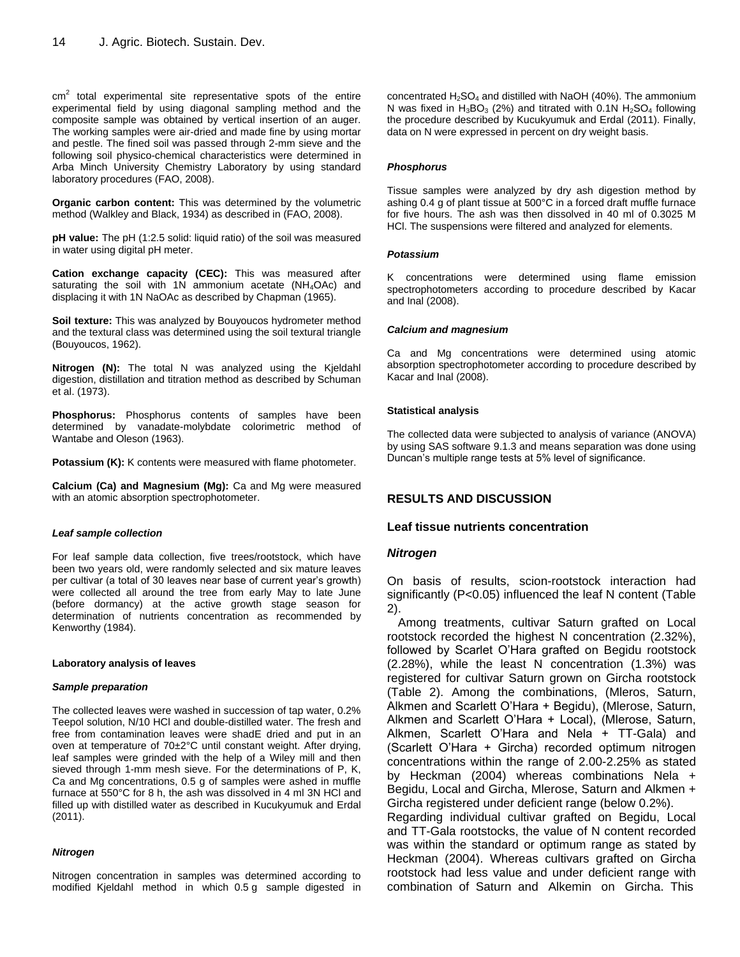$cm<sup>2</sup>$  total experimental site representative spots of the entire experimental field by using diagonal sampling method and the composite sample was obtained by vertical insertion of an auger. The working samples were air-dried and made fine by using mortar and pestle. The fined soil was passed through 2-mm sieve and the following soil physico-chemical characteristics were determined in Arba Minch University Chemistry Laboratory by using standard laboratory procedures (FAO, 2008).

**Organic carbon content:** This was determined by the volumetric method (Walkley and Black, 1934) as described in (FAO, 2008).

**pH value:** The pH (1:2.5 solid: liquid ratio) of the soil was measured in water using digital pH meter.

**Cation exchange capacity (CEC):** This was measured after saturating the soil with 1N ammonium acetate (NH<sub>4</sub>OAc) and displacing it with 1N NaOAc as described by Chapman (1965).

**Soil texture:** This was analyzed by Bouyoucos hydrometer method and the textural class was determined using the soil textural triangle (Bouyoucos, 1962).

**Nitrogen (N):** The total N was analyzed using the Kjeldahl digestion, distillation and titration method as described by Schuman et al. (1973).

**Phosphorus:** Phosphorus contents of samples have been determined by vanadate-molybdate colorimetric method of Wantabe and Oleson (1963).

**Potassium (K):** K contents were measured with flame photometer.

**Calcium (Ca) and Magnesium (Mg):** Ca and Mg were measured with an atomic absorption spectrophotometer.

#### *Leaf sample collection*

For leaf sample data collection, five trees/rootstock, which have been two years old, were randomly selected and six mature leaves per cultivar (a total of 30 leaves near base of current year's growth) were collected all around the tree from early May to late June (before dormancy) at the active growth stage season for determination of nutrients concentration as recommended by Kenworthy (1984).

#### **Laboratory analysis of leaves**

#### *Sample preparation*

The collected leaves were washed in succession of tap water, 0.2% Teepol solution, N/10 HCl and double-distilled water. The fresh and free from contamination leaves were shadE dried and put in an oven at temperature of 70±2°C until constant weight. After drying, leaf samples were grinded with the help of a Wiley mill and then sieved through 1-mm mesh sieve. For the determinations of P, K, Ca and Mg concentrations, 0.5 g of samples were ashed in muffle furnace at 550°C for 8 h, the ash was dissolved in 4 ml 3N HCl and filled up with distilled water as described in Kucukyumuk and Erdal (2011).

#### *Nitrogen*

Nitrogen concentration in samples was determined according to modified Kjeldahl method in which 0.5 g sample digested in concentrated  $H_2SO_4$  and distilled with NaOH (40%). The ammonium N was fixed in  $H_3BO_3$  (2%) and titrated with 0.1N  $H_2SO_4$  following the procedure described by Kucukyumuk and Erdal (2011). Finally, data on N were expressed in percent on dry weight basis.

#### *Phosphorus*

Tissue samples were analyzed by dry ash digestion method by ashing 0.4 g of plant tissue at 500°C in a forced draft muffle furnace for five hours. The ash was then dissolved in 40 ml of 0.3025 M HCl. The suspensions were filtered and analyzed for elements.

#### *Potassium*

K concentrations were determined using flame emission spectrophotometers according to procedure described by Kacar and Inal (2008).

#### *Calcium and magnesium*

Ca and Mg concentrations were determined using atomic absorption spectrophotometer according to procedure described by Kacar and Inal (2008).

#### **Statistical analysis**

The collected data were subjected to analysis of variance (ANOVA) by using SAS software 9.1.3 and means separation was done using Duncan's multiple range tests at 5% level of significance.

## **RESULTS AND DISCUSSION**

#### **Leaf tissue nutrients concentration**

#### *Nitrogen*

On basis of results, scion-rootstock interaction had significantly (P<0.05) influenced the leaf N content (Table 2).

Among treatments, cultivar Saturn grafted on Local rootstock recorded the highest N concentration (2.32%), followed by Scarlet O'Hara grafted on Begidu rootstock (2.28%), while the least N concentration (1.3%) was registered for cultivar Saturn grown on Gircha rootstock (Table 2). Among the combinations, (Mleros, Saturn, Alkmen and Scarlett O'Hara + Begidu), (Mlerose, Saturn, Alkmen and Scarlett O'Hara + Local), (Mlerose, Saturn, Alkmen, Scarlett O'Hara and Nela + TT-Gala) and (Scarlett O'Hara + Gircha) recorded optimum nitrogen concentrations within the range of 2.00-2.25% as stated by Heckman (2004) whereas combinations Nela + Begidu, Local and Gircha, Mlerose, Saturn and Alkmen + Gircha registered under deficient range (below 0.2%).

Regarding individual cultivar grafted on Begidu, Local and TT-Gala rootstocks, the value of N content recorded was within the standard or optimum range as stated by Heckman (2004). Whereas cultivars grafted on Gircha rootstock had less value and under deficient range with combination of Saturn and Alkemin on Gircha. This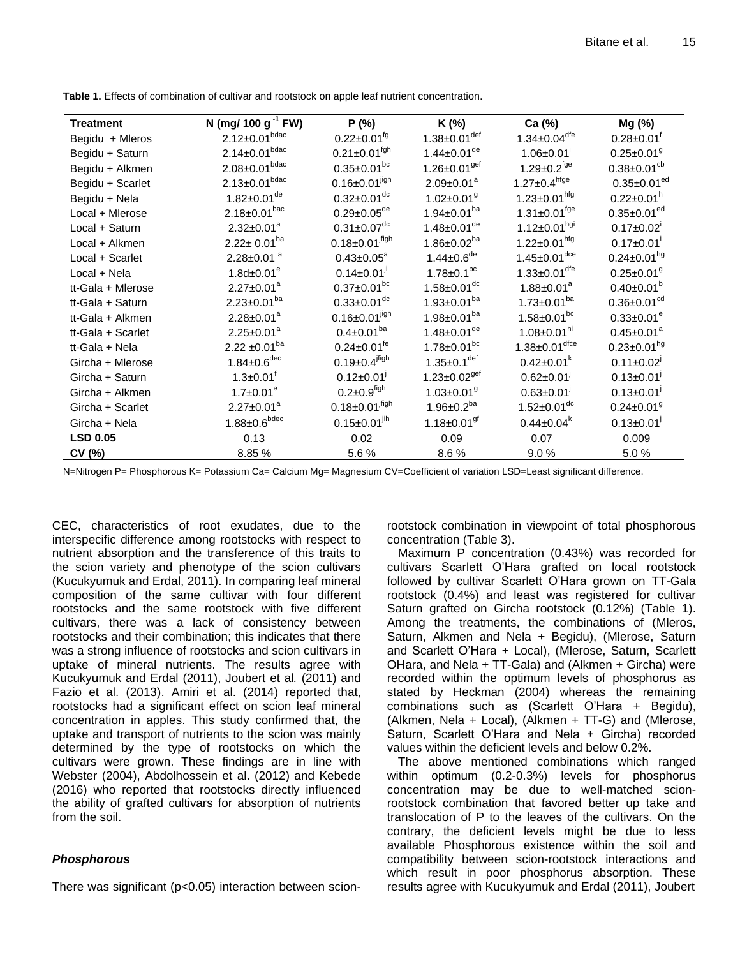| <b>Treatment</b>  | N (mg/ 100 g <sup>-1</sup> FW) | P (%)                            | K (%)                            | Ca (%)                          | Mg (%)                        |
|-------------------|--------------------------------|----------------------------------|----------------------------------|---------------------------------|-------------------------------|
| Begidu + Mleros   | $2.12 \pm 0.01^{bdac}$         | $0.22 \pm 0.01^{fg}$             | $1.38 \pm 0.01^{\overline{def}}$ | $1.34 \pm 0.04$ <sup>dfe</sup>  | $0.28 \pm 0.01$ <sup>f</sup>  |
| Begidu + Saturn   | $2.14 \pm 0.01$ bdac           | $0.21 \pm 0.01$ <sup>fgh</sup>   | $1.44 \pm 0.01$ <sup>de</sup>    | $1.06 \pm 0.01$ <sup>i</sup>    | $0.25 \pm 0.01$ <sup>9</sup>  |
| Begidu + Alkmen   | $2.08 \pm 0.01$ bdac           | $0.35 \pm 0.01^{bc}$             | $1.26 \pm 0.01$ <sup>gef</sup>   | $1.29 \pm 0.2$ <sup>fge</sup>   | $0.38 \pm 0.01$ <sup>cb</sup> |
| Begidu + Scarlet  | $2.13 \pm 0.01^{bdac}$         | $0.16 \pm 0.01^{jigh}$           | $2.09 \pm 0.01^a$                | $1.27 \pm 0.4$ hfge             | $0.35 \pm 0.01$ <sup>ed</sup> |
| Begidu + Nela     | $1.82 \pm 0.01$ <sup>de</sup>  | $0.32 \pm 0.01$ <sup>dc</sup>    | $1.02 \pm 0.01$ <sup>g</sup>     | $1.23 \pm 0.01^{hfgi}$          | $0.22 \pm 0.01^h$             |
| Local + Mlerose   | $2.18 \pm 0.01^{bac}$          | $0.29 \pm 0.05$ <sup>de</sup>    | $1.94 \pm 0.01^{ba}$             | $1.31 \pm 0.01$ <sup>fge</sup>  | $0.35 \pm 0.01^{ed}$          |
| Local + Saturn    | $2.32 \pm 0.01^a$              | $0.31 \pm 0.07$ <sup>dc</sup>    | $1.48 \pm 0.01$ <sup>de</sup>    | $1.12 \pm 0.01^{hgi}$           | $0.17 \pm 0.02$               |
| Local + Alkmen    | $2.22 \pm 0.01^{ba}$           | $0.18 \pm 0.01^{ifigh}$          | $1.86 \pm 0.02^{ba}$             | $1.22 \pm 0.01^{hfgi}$          | $0.17 \pm 0.01$ <sup>i</sup>  |
| Local + Scarlet   | $2.28 \pm 0.01$ <sup>a</sup>   | $0.43 \pm 0.05^a$                | $1.44 \pm 0.6$ <sup>de</sup>     | $1.45 \pm 0.01$ <sup>dce</sup>  | $0.24 \pm 0.01^{hg}$          |
| Local + Nela      | $1.8d \pm 0.01^e$              | $0.14 \pm 0.01$ <sup>ji</sup>    | $1.78 \pm 0.1^{bc}$              | $1.33 \pm 0.01$ <sup>dfe</sup>  | $0.25 \pm 0.01$ <sup>9</sup>  |
| tt-Gala + Mlerose | $2.27 \pm 0.01^a$              | $0.37 \pm 0.01^{bc}$             | $1.58 \pm 0.01$ <sup>dc</sup>    | $1.88 \pm 0.01^a$               | $0.40 \pm 0.01^b$             |
| tt-Gala + Saturn  | $2.23 \pm 0.01^{ba}$           | $0.33 \pm 0.01$ <sup>dc</sup>    | $1.93 \pm 0.01^{ba}$             | $1.73 \pm 0.01^{ba}$            | $0.36 \pm 0.01$ <sup>cd</sup> |
| tt-Gala + Alkmen  | $2.28 \pm 0.01^a$              | $0.16 \pm 0.01^{jigh}$           | $1.98 \pm 0.01^{ba}$             | $1.58 \pm 0.01^{bc}$            | $0.33 \pm 0.01^e$             |
| tt-Gala + Scarlet | $2.25 \pm 0.01^a$              | $0.4 \pm 0.01^{ba}$              | $1.48 \pm 0.01$ <sup>de</sup>    | $1.08 \pm 0.01$ <sup>hi</sup>   | $0.45 \pm 0.01^a$             |
| tt-Gala + Nela    | $2.22 \pm 0.01^{ba}$           | $0.24 \pm 0.01$ <sup>fe</sup>    | $1.78 \pm 0.01$ <sup>bc</sup>    | $1.38 \pm 0.01$ <sup>dfce</sup> | $0.23 \pm 0.01^{hg}$          |
| Gircha + Mlerose  | $1.84 \pm 0.6^{\text{dec}}$    | $0.19 \pm 0.4$ <sup>jfigh</sup>  | $1.35 \pm 0.1$ <sup>def</sup>    | $0.42 \pm 0.01^k$               | $0.11 \pm 0.02$ <sup>J</sup>  |
| Gircha + Saturn   | $1.3 \pm 0.01$ <sup>t</sup>    | $0.12 \pm 0.01$                  | $1.23 \pm 0.02$ <sup>gef</sup>   | $0.62 \pm 0.01$                 | $0.13 \pm 0.01$               |
| Gircha + Alkmen   | $1.7 \pm 0.01^e$               | $0.2 \pm 0.9^{\text{figh}}$      | $1.03 \pm 0.01$ <sup>g</sup>     | $0.63 \pm 0.01$                 | $0.13 \pm 0.01$               |
| Gircha + Scarlet  | $2.27 \pm 0.01^a$              | $0.18 \pm 0.01$ <sup>jfigh</sup> | $1.96 \pm 0.2^{ba}$              | $1.52 \pm 0.01$ <sup>dc</sup>   | $0.24 \pm 0.01$ <sup>9</sup>  |
| Gircha + Nela     | $1.88 \pm 0.6^{\text{bdec}}$   | $0.15 \pm 0.01^{jih}$            | $1.18 \pm 0.01$ <sup>gf</sup>    | $0.44 \pm 0.04^k$               | $0.13 \pm 0.01$               |
| <b>LSD 0.05</b>   | 0.13                           | 0.02                             | 0.09                             | 0.07                            | 0.009                         |
| CV (%)            | 8.85%                          | 5.6%                             | 8.6%                             | 9.0%                            | 5.0%                          |

**Table 1.** Effects of combination of cultivar and rootstock on apple leaf nutrient concentration.

N=Nitrogen P= Phosphorous K= Potassium Ca= Calcium Mg= Magnesium CV=Coefficient of variation LSD=Least significant difference.

CEC, characteristics of root exudates, due to the interspecific difference among rootstocks with respect to nutrient absorption and the transference of this traits to the scion variety and phenotype of the scion cultivars (Kucukyumuk and Erdal, 2011). In comparing leaf mineral composition of the same cultivar with four different rootstocks and the same rootstock with five different cultivars, there was a lack of consistency between rootstocks and their combination; this indicates that there was a strong influence of rootstocks and scion cultivars in uptake of mineral nutrients. The results agree with Kucukyumuk and Erdal (2011), Joubert et al*.* (2011) and Fazio et al. (2013). Amiri et al. (2014) reported that, rootstocks had a significant effect on scion leaf mineral concentration in apples. This study confirmed that, the uptake and transport of nutrients to the scion was mainly determined by the type of rootstocks on which the cultivars were grown. These findings are in line with Webster (2004), Abdolhossein et al. (2012) and Kebede (2016) who reported that rootstocks directly influenced the ability of grafted cultivars for absorption of nutrients from the soil.

# *Phosphorous*

There was significant (p<0.05) interaction between scion-

rootstock combination in viewpoint of total phosphorous concentration (Table 3).

Maximum P concentration (0.43%) was recorded for cultivars Scarlett O'Hara grafted on local rootstock followed by cultivar Scarlett O'Hara grown on TT-Gala rootstock (0.4%) and least was registered for cultivar Saturn grafted on Gircha rootstock (0.12%) (Table 1). Among the treatments, the combinations of (Mleros, Saturn, Alkmen and Nela + Begidu), (Mlerose, Saturn and Scarlett O'Hara + Local), (Mlerose, Saturn, Scarlett OHara, and Nela + TT-Gala) and (Alkmen + Gircha) were recorded within the optimum levels of phosphorus as stated by Heckman (2004) whereas the remaining combinations such as (Scarlett O'Hara + Begidu), (Alkmen, Nela + Local), (Alkmen + TT-G) and (Mlerose, Saturn, Scarlett O'Hara and Nela + Gircha) recorded values within the deficient levels and below 0.2%.

The above mentioned combinations which ranged within optimum (0.2-0.3%) levels for phosphorus concentration may be due to well-matched scionrootstock combination that favored better up take and translocation of P to the leaves of the cultivars. On the contrary, the deficient levels might be due to less available Phosphorous existence within the soil and compatibility between scion-rootstock interactions and which result in poor phosphorus absorption. These results agree with Kucukyumuk and Erdal (2011), Joubert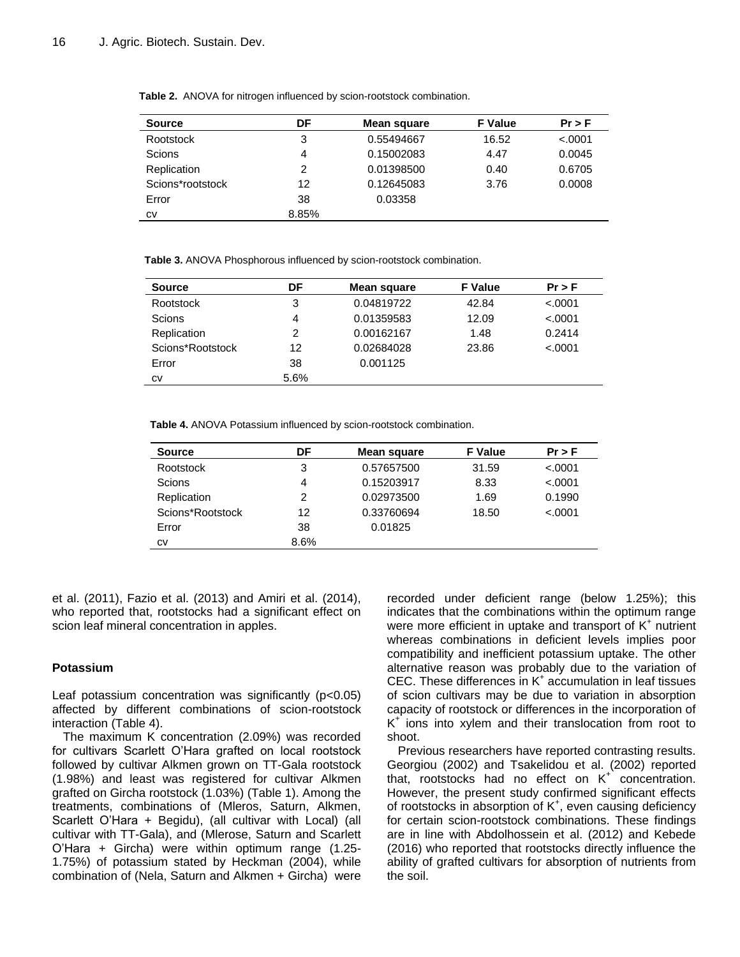| <b>Source</b>    | DF    | Mean square | <b>F</b> Value | $Pr$ > F |
|------------------|-------|-------------|----------------|----------|
| Rootstock        | 3     | 0.55494667  | 16.52          | < .0001  |
| Scions           | 4     | 0.15002083  | 4.47           | 0.0045   |
| Replication      | 2     | 0.01398500  | 0.40           | 0.6705   |
| Scions*rootstock | 12    | 0.12645083  | 3.76           | 0.0008   |
| Error            | 38    | 0.03358     |                |          |
| СV               | 8.85% |             |                |          |

**Table 2.** ANOVA for nitrogen influenced by scion-rootstock combination.

**Table 3.** ANOVA Phosphorous influenced by scion-rootstock combination.

| <b>Source</b>    | DF   | Mean square | <b>F</b> Value | $Pr$ > F |
|------------------|------|-------------|----------------|----------|
| Rootstock        | 3    | 0.04819722  | 42.84          | < .0001  |
| Scions           | 4    | 0.01359583  | 12.09          | < .0001  |
| Replication      | 2    | 0.00162167  | 1.48           | 0.2414   |
| Scions*Rootstock | 12   | 0.02684028  | 23.86          | < .0001  |
| Error            | 38   | 0.001125    |                |          |
| CV               | 5.6% |             |                |          |

**Table 4.** ANOVA Potassium influenced by scion-rootstock combination.

| <b>Source</b>    | DF   | Mean square | <b>F</b> Value | $Pr$ > F |
|------------------|------|-------------|----------------|----------|
| Rootstock        | 3    | 0.57657500  | 31.59          | < .0001  |
| Scions           | 4    | 0.15203917  | 8.33           | < .0001  |
| Replication      | 2    | 0.02973500  | 1.69           | 0.1990   |
| Scions*Rootstock | 12   | 0.33760694  | 18.50          | < .0001  |
| Error            | 38   | 0.01825     |                |          |
| СV               | 8.6% |             |                |          |

et al. (2011), Fazio et al. (2013) and Amiri et al. (2014), who reported that, rootstocks had a significant effect on scion leaf mineral concentration in apples.

## **Potassium**

Leaf potassium concentration was significantly  $(p<0.05)$ affected by different combinations of scion-rootstock interaction (Table 4).

The maximum K concentration (2.09%) was recorded for cultivars Scarlett O'Hara grafted on local rootstock followed by cultivar Alkmen grown on TT-Gala rootstock (1.98%) and least was registered for cultivar Alkmen grafted on Gircha rootstock (1.03%) (Table 1). Among the treatments, combinations of (Mleros, Saturn, Alkmen, Scarlett O'Hara + Begidu), (all cultivar with Local) (all cultivar with TT-Gala), and (Mlerose, Saturn and Scarlett O'Hara + Gircha) were within optimum range (1.25- 1.75%) of potassium stated by Heckman (2004), while combination of (Nela, Saturn and Alkmen + Gircha) were recorded under deficient range (below 1.25%); this indicates that the combinations within the optimum range were more efficient in uptake and transport of  $K^+$  nutrient whereas combinations in deficient levels implies poor compatibility and inefficient potassium uptake. The other alternative reason was probably due to the variation of CEC. These differences in K<sup>+</sup> accumulation in leaf tissues of scion cultivars may be due to variation in absorption capacity of rootstock or differences in the incorporation of K + ions into xylem and their translocation from root to shoot.

Previous researchers have reported contrasting results. Georgiou (2002) and Tsakelidou et al. (2002) reported that, rootstocks had no effect on  $K^+$  concentration. However, the present study confirmed significant effects of rootstocks in absorption of  $K^+$ , even causing deficiency for certain scion-rootstock combinations. These findings are in line with Abdolhossein et al. (2012) and Kebede (2016) who reported that rootstocks directly influence the ability of grafted cultivars for absorption of nutrients from the soil.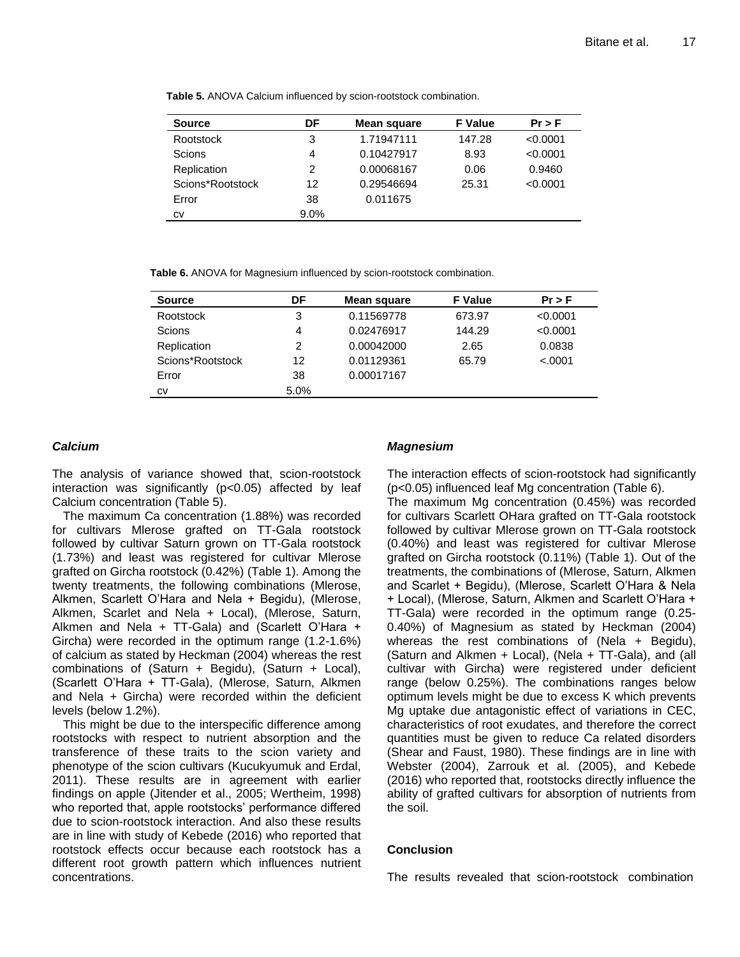**Table 5.** ANOVA Calcium influenced by scion-rootstock combination.

| <b>Source</b>    | DF      | Mean square | <b>F</b> Value | $Pr$ > F |
|------------------|---------|-------------|----------------|----------|
| Rootstock        | 3       | 1.71947111  | 147.28         | < 0.0001 |
| Scions           | 4       | 0.10427917  | 8.93           | < 0.0001 |
| Replication      | 2       | 0.00068167  | 0.06           | 0.9460   |
| Scions*Rootstock | 12      | 0.29546694  | 25.31          | < 0.0001 |
| Error            | 38      | 0.011675    |                |          |
| CV               | $9.0\%$ |             |                |          |

**Table 6.** ANOVA for Magnesium influenced by scion-rootstock combination.

| <b>Source</b>    | DF   | Mean square | <b>F</b> Value | $Pr$ > F |
|------------------|------|-------------|----------------|----------|
| Rootstock        | 3    | 0.11569778  | 673.97         | < 0.0001 |
| Scions           | 4    | 0.02476917  | 144.29         | < 0.0001 |
| Replication      | 2    | 0.00042000  | 2.65           | 0.0838   |
| Scions*Rootstock | 12   | 0.01129361  | 65.79          | < .0001  |
| Error            | 38   | 0.00017167  |                |          |
| CV               | 5.0% |             |                |          |

## *Calcium*

The analysis of variance showed that, scion-rootstock interaction was significantly (p<0.05) affected by leaf Calcium concentration (Table 5).

The maximum Ca concentration (1.88%) was recorded for cultivars Mlerose grafted on TT-Gala rootstock followed by cultivar Saturn grown on TT-Gala rootstock (1.73%) and least was registered for cultivar Mlerose grafted on Gircha rootstock (0.42%) (Table 1). Among the twenty treatments, the following combinations (Mlerose, Alkmen, Scarlett O'Hara and Nela + Begidu), (Mlerose, Alkmen, Scarlet and Nela + Local), (Mlerose, Saturn, Alkmen and Nela + TT-Gala) and (Scarlett O'Hara + Gircha) were recorded in the optimum range (1.2-1.6%) of calcium as stated by Heckman (2004) whereas the rest combinations of  $(Saturn + Begidu)$ ,  $(Saturn + Local)$ , (Scarlett O'Hara + TT-Gala), (Mlerose, Saturn, Alkmen and Nela + Gircha) were recorded within the deficient levels (below 1.2%).

This might be due to the interspecific difference among rootstocks with respect to nutrient absorption and the transference of these traits to the scion variety and phenotype of the scion cultivars (Kucukyumuk and Erdal, 2011). These results are in agreement with earlier findings on apple (Jitender et al., 2005; Wertheim, 1998) who reported that, apple rootstocks' performance differed due to scion-rootstock interaction. And also these results are in line with study of Kebede (2016) who reported that rootstock effects occur because each rootstock has a different root growth pattern which influences nutrient concentrations.

## *Magnesium*

The interaction effects of scion-rootstock had significantly (p<0.05) influenced leaf Mg concentration (Table 6).

The maximum Mg concentration (0.45%) was recorded for cultivars Scarlett OHara grafted on TT-Gala rootstock followed by cultivar Mlerose grown on TT-Gala rootstock (0.40%) and least was registered for cultivar Mlerose grafted on Gircha rootstock (0.11%) (Table 1). Out of the treatments, the combinations of (Mlerose, Saturn, Alkmen and Scarlet + Begidu), (Mlerose, Scarlett O'Hara & Nela + Local), (Mlerose, Saturn, Alkmen and Scarlett O'Hara + TT-Gala) were recorded in the optimum range (0.25- 0.40%) of Magnesium as stated by Heckman (2004) whereas the rest combinations of (Nela + Begidu), (Saturn and Alkmen + Local), (Nela + TT-Gala), and (all cultivar with Gircha) were registered under deficient range (below 0.25%). The combinations ranges below optimum levels might be due to excess K which prevents Mg uptake due antagonistic effect of variations in CEC, characteristics of root exudates, and therefore the correct quantities must be given to reduce Ca related disorders (Shear and Faust, 1980). These findings are in line with Webster (2004), Zarrouk et al. (2005), and Kebede (2016) who reported that, rootstocks directly influence the ability of grafted cultivars for absorption of nutrients from the soil.

## **Conclusion**

The results revealed that scion-rootstock combination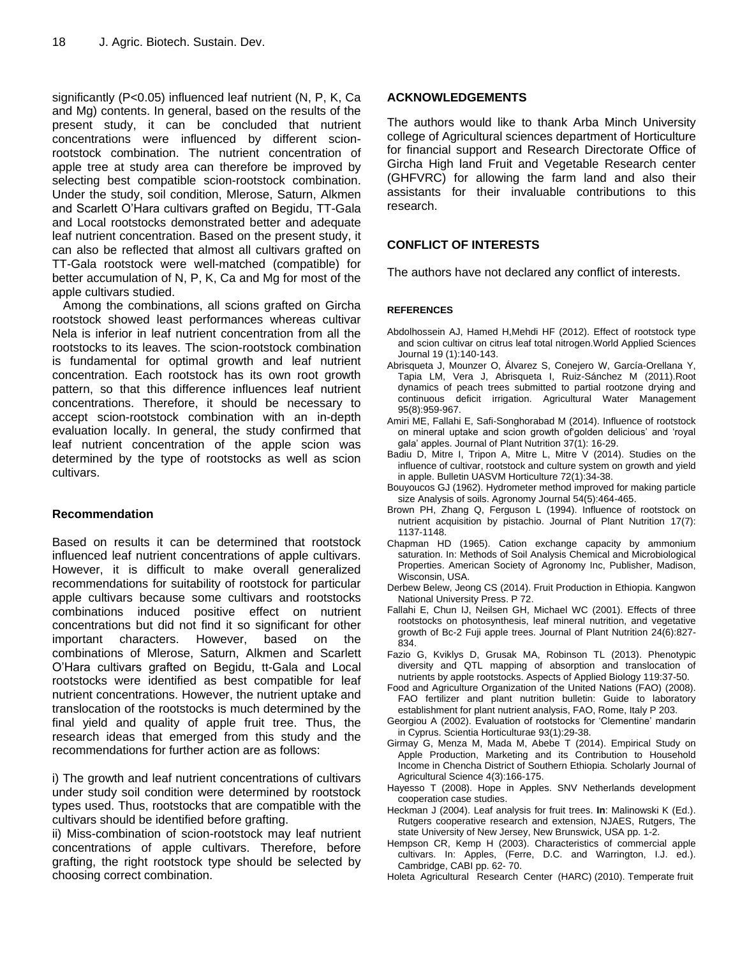significantly (P<0.05) influenced leaf nutrient (N, P, K, Ca and Mg) contents. In general, based on the results of the present study, it can be concluded that nutrient concentrations were influenced by different scionrootstock combination. The nutrient concentration of apple tree at study area can therefore be improved by selecting best compatible scion-rootstock combination. Under the study, soil condition, Mlerose, Saturn, Alkmen and Scarlett O'Hara cultivars grafted on Begidu, TT-Gala and Local rootstocks demonstrated better and adequate leaf nutrient concentration. Based on the present study, it can also be reflected that almost all cultivars grafted on TT-Gala rootstock were well-matched (compatible) for better accumulation of N, P, K, Ca and Mg for most of the apple cultivars studied.

Among the combinations, all scions grafted on Gircha rootstock showed least performances whereas cultivar Nela is inferior in leaf nutrient concentration from all the rootstocks to its leaves. The scion-rootstock combination is fundamental for optimal growth and leaf nutrient concentration. Each rootstock has its own root growth pattern, so that this difference influences leaf nutrient concentrations. Therefore, it should be necessary to accept scion-rootstock combination with an in-depth evaluation locally. In general, the study confirmed that leaf nutrient concentration of the apple scion was determined by the type of rootstocks as well as scion cultivars.

## **Recommendation**

Based on results it can be determined that rootstock influenced leaf nutrient concentrations of apple cultivars. However, it is difficult to make overall generalized recommendations for suitability of rootstock for particular apple cultivars because some cultivars and rootstocks combinations induced positive effect on nutrient concentrations but did not find it so significant for other important characters. However, based on the combinations of Mlerose, Saturn, Alkmen and Scarlett O'Hara cultivars grafted on Begidu, tt-Gala and Local rootstocks were identified as best compatible for leaf nutrient concentrations. However, the nutrient uptake and translocation of the rootstocks is much determined by the final yield and quality of apple fruit tree. Thus, the research ideas that emerged from this study and the recommendations for further action are as follows:

i) The growth and leaf nutrient concentrations of cultivars under study soil condition were determined by rootstock types used. Thus, rootstocks that are compatible with the cultivars should be identified before grafting.

ii) Miss-combination of scion-rootstock may leaf nutrient concentrations of apple cultivars. Therefore, before grafting, the right rootstock type should be selected by choosing correct combination.

## **ACKNOWLEDGEMENTS**

The authors would like to thank Arba Minch University college of Agricultural sciences department of Horticulture for financial support and Research Directorate Office of Gircha High land Fruit and Vegetable Research center (GHFVRC) for allowing the farm land and also their assistants for their invaluable contributions to this research.

# **CONFLICT OF INTERESTS**

The authors have not declared any conflict of interests.

## **REFERENCES**

- Abdolhossein AJ, Hamed H,Mehdi HF (2012). Effect of rootstock type and scion cultivar on citrus leaf total nitrogen.World Applied Sciences Journal 19 (1):140-143.
- Abrisqueta J, Mounzer O, Álvarez S, Conejero W, García-Orellana Y, Tapia LM, Vera J, Abrisqueta I, Ruiz-Sánchez M (2011).Root dynamics of peach trees submitted to partial rootzone drying and continuous deficit irrigation. Agricultural Water Management 95(8):959-967.
- Amiri ME, Fallahi E, Safi-Songhorabad M (2014). Influence of rootstock on mineral uptake and scion growth of'golden delicious' and 'royal gala' apples. Journal of Plant Nutrition 37(1): 16-29.
- Badiu D, Mitre I, Tripon A, Mitre L, Mitre V (2014). Studies on the influence of cultivar, rootstock and culture system on growth and yield in apple. Bulletin UASVM Horticulture 72(1):34-38.
- Bouyoucos GJ (1962). Hydrometer method improved for making particle size Analysis of soils. Agronomy Journal 54(5):464-465.
- Brown PH, Zhang Q, Ferguson L (1994). Influence of rootstock on nutrient acquisition by pistachio. Journal of Plant Nutrition 17(7): 1137-1148.
- Chapman HD (1965). Cation exchange capacity by ammonium saturation. In: Methods of Soil Analysis Chemical and Microbiological Properties. American Society of Agronomy Inc, Publisher, Madison, Wisconsin, USA.
- Derbew Belew, Jeong CS (2014). Fruit Production in Ethiopia. Kangwon National University Press. P 72.
- Fallahi E, Chun IJ, Neilsen GH, Michael WC (2001). Effects of three rootstocks on photosynthesis, leaf mineral nutrition, and vegetative growth of Bc-2 Fuji apple trees. Journal of Plant Nutrition 24(6):827- 834.
- Fazio G, Kviklys D, Grusak MA, Robinson TL (2013). Phenotypic diversity and QTL mapping of absorption and translocation of nutrients by apple rootstocks. Aspects of Applied Biology 119:37-50.
- Food and Agriculture Organization of the United Nations (FAO) (2008). FAO fertilizer and plant nutrition bulletin: Guide to laboratory establishment for plant nutrient analysis, FAO, Rome, Italy P 203.
- Georgiou A (2002). Evaluation of rootstocks for 'Clementine' mandarin in Cyprus. Scientia Horticulturae 93(1):29-38.
- Girmay G, Menza M, Mada M, Abebe T (2014). Empirical Study on Apple Production, Marketing and its Contribution to Household Income in Chencha District of Southern Ethiopia. Scholarly Journal of Agricultural Science 4(3):166-175.
- Hayesso T (2008). Hope in Apples. SNV Netherlands development cooperation case studies.
- Heckman J (2004). Leaf analysis for fruit trees. **In**: Malinowski K (Ed.). Rutgers cooperative research and extension, NJAES, Rutgers, The state University of New Jersey, New Brunswick, USA pp. 1-2.
- Hempson CR, Kemp H (2003). Characteristics of commercial apple cultivars. In: Apples, (Ferre, D.C. and Warrington, I.J. ed.). Cambridge, CABI pp. 62- 70.
- Holeta Agricultural Research Center (HARC) (2010). Temperate fruit